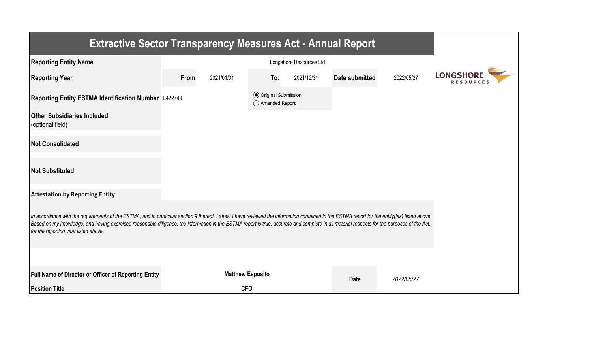| <b>Extractive Sector Transparency Measures Act - Annual Report</b>                                                                                                                                                                                                                                                                                                                                                                    |      |                         |                                                  |            |                |            |                  |
|---------------------------------------------------------------------------------------------------------------------------------------------------------------------------------------------------------------------------------------------------------------------------------------------------------------------------------------------------------------------------------------------------------------------------------------|------|-------------------------|--------------------------------------------------|------------|----------------|------------|------------------|
| <b>Reporting Entity Name</b>                                                                                                                                                                                                                                                                                                                                                                                                          |      |                         |                                                  |            |                |            |                  |
| <b>Reporting Year</b>                                                                                                                                                                                                                                                                                                                                                                                                                 | From | 2021/01/01              | To:                                              | 2021/12/31 | Date submitted | 2022/05/27 | <b>LONGSHORE</b> |
| Reporting Entity ESTMA Identification Number E422749                                                                                                                                                                                                                                                                                                                                                                                  |      |                         | <b>◎</b> Original Submission<br>◯ Amended Report |            |                |            |                  |
| <b>Other Subsidiaries Included</b><br>(optional field)                                                                                                                                                                                                                                                                                                                                                                                |      |                         |                                                  |            |                |            |                  |
| <b>Not Consolidated</b>                                                                                                                                                                                                                                                                                                                                                                                                               |      |                         |                                                  |            |                |            |                  |
| <b>Not Substituted</b>                                                                                                                                                                                                                                                                                                                                                                                                                |      |                         |                                                  |            |                |            |                  |
| <b>Attestation by Reporting Entity</b>                                                                                                                                                                                                                                                                                                                                                                                                |      |                         |                                                  |            |                |            |                  |
| In accordance with the requirements of the ESTMA, and in particular section 9 thereof, I attest I have reviewed the information contained in the ESTMA report for the entity(ies) listed above.<br>Based on my knowledge, and having exercised reasonable diligence, the information in the ESTMA report is true, accurate and complete in all material respects for the purposes of the Act,<br>for the reporting year listed above. |      |                         |                                                  |            |                |            |                  |
|                                                                                                                                                                                                                                                                                                                                                                                                                                       |      |                         |                                                  |            |                |            |                  |
| Full Name of Director or Officer of Reporting Entity                                                                                                                                                                                                                                                                                                                                                                                  |      | <b>Matthew Esposito</b> |                                                  |            | <b>Date</b>    | 2022/05/27 |                  |
| <b>Position Title</b>                                                                                                                                                                                                                                                                                                                                                                                                                 |      | <b>CFO</b>              |                                                  |            |                |            |                  |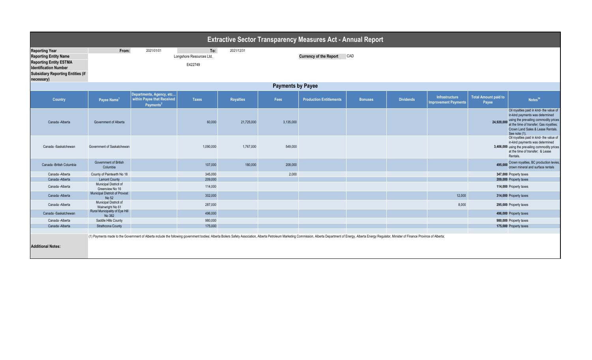|                                                                                                                                                                                  |                                                |                                                                                 |                                            |                  |           | <b>Extractive Sector Transparency Measures Act - Annual Report</b>                                                                                                                                                             |                |                  |                                               |                                      |                                                                                                                                                                                                                       |  |  |
|----------------------------------------------------------------------------------------------------------------------------------------------------------------------------------|------------------------------------------------|---------------------------------------------------------------------------------|--------------------------------------------|------------------|-----------|--------------------------------------------------------------------------------------------------------------------------------------------------------------------------------------------------------------------------------|----------------|------------------|-----------------------------------------------|--------------------------------------|-----------------------------------------------------------------------------------------------------------------------------------------------------------------------------------------------------------------------|--|--|
| <b>Reporting Year</b><br><b>Reporting Entity Name</b><br><b>Reporting Entity ESTMA</b><br><b>Identification Number</b><br><b>Subsidiary Reporting Entities (if</b><br>necessary) | From:                                          | 2021/01/01                                                                      | To:<br>Longshore Resources Ltd.<br>E422749 | 2021/12/31       |           | <b>Currency of the Report</b>                                                                                                                                                                                                  | CAD            |                  |                                               |                                      |                                                                                                                                                                                                                       |  |  |
|                                                                                                                                                                                  | <b>Payments by Payee</b>                       |                                                                                 |                                            |                  |           |                                                                                                                                                                                                                                |                |                  |                                               |                                      |                                                                                                                                                                                                                       |  |  |
| Country                                                                                                                                                                          | Payee Name <sup>1</sup>                        | Departments, Agency, etc<br>within Payee that Received<br>Payments <sup>2</sup> | <b>Taxes</b>                               | <b>Royalties</b> | Fees      | <b>Production Entitlements</b>                                                                                                                                                                                                 | <b>Bonuses</b> | <b>Dividends</b> | Infrastructure<br><b>Improvement Payments</b> | <b>Total Amount paid to</b><br>Payee | Notes <sup>34</sup>                                                                                                                                                                                                   |  |  |
| Canada -Alberta                                                                                                                                                                  | Government of Alberta                          |                                                                                 | 60,000                                     | 21,725,000       | 3,135,000 |                                                                                                                                                                                                                                |                |                  |                                               | 24,920,000                           | Oil royalties paid in kind- the value of<br>in-kind payments was determined<br>using the prevailing commodity prices<br>at the time of transfer; Gas royalties;<br>Crown Land Sales & Lease Rentals.<br>See note (1). |  |  |
| Canada -Saskatchewan                                                                                                                                                             | Government of Saskatchewan                     |                                                                                 | 1,090,000                                  | 1,767,000        | 549,000   |                                                                                                                                                                                                                                |                |                  |                                               |                                      | Oil royalties paid in kind- the value of<br>in-kind payments was determined<br>3,406,000 using the prevailing commodity prices<br>at the time of transfer: & Lease<br>Rentals.                                        |  |  |
| Canada - British Columbia                                                                                                                                                        | Government of British<br>Columbia              |                                                                                 | 107,000                                    | 180,000          | 208,000   |                                                                                                                                                                                                                                |                |                  |                                               | 495.000                              | Crown royalties, BC production levies,<br>crown mineral and surface rentals                                                                                                                                           |  |  |
| Canada - Alberta                                                                                                                                                                 | County of Paintearth No 18                     |                                                                                 | 345,000                                    |                  | 2,000     |                                                                                                                                                                                                                                |                |                  |                                               |                                      | 347,000 Property taxes                                                                                                                                                                                                |  |  |
| Canada - Alberta                                                                                                                                                                 | <b>Lamont County</b>                           |                                                                                 | 209,000                                    |                  |           |                                                                                                                                                                                                                                |                |                  |                                               |                                      | 209,000 Property taxes                                                                                                                                                                                                |  |  |
| Canada - Alberta                                                                                                                                                                 | Municipal Districit of<br>Greenview No 16      |                                                                                 | 114,000                                    |                  |           |                                                                                                                                                                                                                                |                |                  |                                               |                                      | 114,000 Property taxes                                                                                                                                                                                                |  |  |
| Canada - Alberta                                                                                                                                                                 | <b>Municipal Districit of Provost</b><br>No 52 |                                                                                 | 302,000                                    |                  |           |                                                                                                                                                                                                                                |                |                  | 12,000                                        |                                      | 314,000 Property taxes                                                                                                                                                                                                |  |  |
| Canada - Alberta                                                                                                                                                                 | Municipal Districit of<br>Wainwright No 61     |                                                                                 | 287,000                                    |                  |           |                                                                                                                                                                                                                                |                |                  | 8,000                                         |                                      | 295,000 Property taxes                                                                                                                                                                                                |  |  |
| Canada -Saskatchewan                                                                                                                                                             | Rural Municipality of Eye Hill<br>No 382       |                                                                                 | 496,000                                    |                  |           |                                                                                                                                                                                                                                |                |                  |                                               |                                      | 496,000 Property taxes                                                                                                                                                                                                |  |  |
| Canada - Alberta                                                                                                                                                                 | Saddle Hills County                            |                                                                                 | 980,000                                    |                  |           |                                                                                                                                                                                                                                |                |                  |                                               |                                      | 980,000 Property taxes                                                                                                                                                                                                |  |  |
| Canada - Alberta                                                                                                                                                                 | <b>Strathcona County</b>                       |                                                                                 | 175,000                                    |                  |           |                                                                                                                                                                                                                                |                |                  |                                               |                                      | 175,000 Property taxes                                                                                                                                                                                                |  |  |
| <b>Additional Notes:</b>                                                                                                                                                         |                                                |                                                                                 |                                            |                  |           | (1) Payments made to the Government of Alberta include the following government bodies: Alberta Boilers Safety Association, Alberta Petroleum Marketing Commission, Alberta Department of Energy, Alberta Energy, Alberta Fina |                |                  |                                               |                                      |                                                                                                                                                                                                                       |  |  |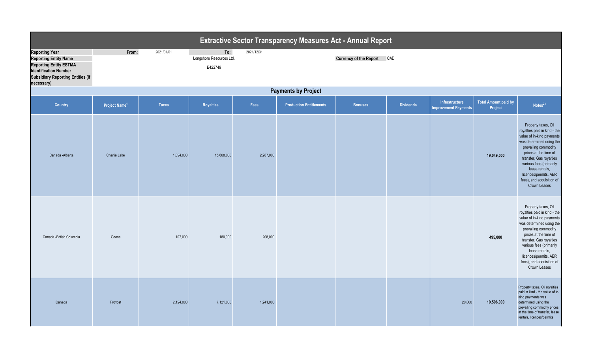| <b>Extractive Sector Transparency Measures Act - Annual Report</b>                                                                                                               |                            |              |                                            |            |                                |                               |                  |                                               |                                        |                                                                                                                                                                                                                                                                                                             |  |
|----------------------------------------------------------------------------------------------------------------------------------------------------------------------------------|----------------------------|--------------|--------------------------------------------|------------|--------------------------------|-------------------------------|------------------|-----------------------------------------------|----------------------------------------|-------------------------------------------------------------------------------------------------------------------------------------------------------------------------------------------------------------------------------------------------------------------------------------------------------------|--|
| <b>Reporting Year</b><br><b>Reporting Entity Name</b><br><b>Reporting Entity ESTMA</b><br><b>Identification Number</b><br><b>Subsidiary Reporting Entities (if</b><br>necessary) | From:                      | 2021/01/01   | To:<br>Longshore Resources Ltd.<br>E422749 | 2021/12/31 |                                | <b>Currency of the Report</b> | CAD              |                                               |                                        |                                                                                                                                                                                                                                                                                                             |  |
|                                                                                                                                                                                  | <b>Payments by Project</b> |              |                                            |            |                                |                               |                  |                                               |                                        |                                                                                                                                                                                                                                                                                                             |  |
| Country                                                                                                                                                                          | Project Name <sup>1</sup>  | <b>Taxes</b> | Royalties                                  | Fees       | <b>Production Entitlements</b> | <b>Bonuses</b>                | <b>Dividends</b> | Infrastructure<br><b>Improvement Payments</b> | <b>Total Amount paid by</b><br>Project | Notes <sup>23</sup>                                                                                                                                                                                                                                                                                         |  |
| Canada - Alberta                                                                                                                                                                 | Charlie Lake               | 1,094,000    | 15,668,000                                 | 2,287,000  |                                |                               |                  |                                               | 19,049,000                             | Property taxes, Oil<br>royalties paid in kind - the<br>value of in-kind payments<br>was determined using the<br>prevailing commodity<br>prices at the time of<br>transfer, Gas royalties<br>various fees (primarily<br>lease rentals,<br>licences/permits, AER<br>fees), and acquisition of<br>Crown Leases |  |
| Canada -British Columbia                                                                                                                                                         | Goose                      | 107,000      | 180,000                                    | 208,000    |                                |                               |                  |                                               | 495,000                                | Property taxes, Oil<br>royalties paid in kind - the<br>value of in-kind payments<br>was determined using the<br>prevailing commodity<br>prices at the time of<br>transfer, Gas royalties<br>various fees (primarily<br>lease rentals,<br>licences/permits, AER<br>fees), and acquisition of<br>Crown Leases |  |
| Canada                                                                                                                                                                           | Provost                    | 2,124,000    | 7,121,000                                  | 1,241,000  |                                |                               |                  | 20,000                                        | 10,506,000                             | Property taxes, Oil royalties<br>paid in kind - the value of in-<br>kind payments was<br>determined using the<br>prevailing commodity prices<br>at the time of transfer, lease<br>rentals, licences/permits                                                                                                 |  |